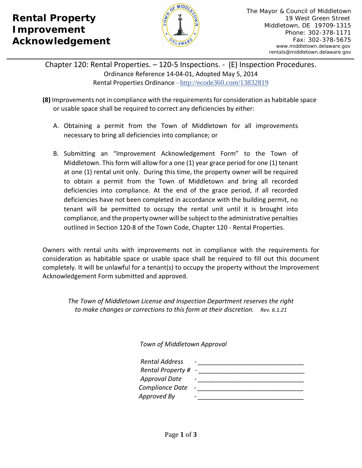## **Rental Property Improvement Acknowledgement**



Chapter 120: Rental Properties. – 120-5 Inspections. - (E) Inspection Procedures. Ordinance Reference 14-04-01, Adopted May 5, 2014 Rental Properties Ordinance - <http://ecode360.com/13832819>

- **(8)** Improvements not in compliance with the requirements for consideration as habitable space or usable space shall be required to correct any deficiencies by either:
	- A. Obtaining a permit from the Town of Middletown for all improvements necessary to bring all deficiencies into compliance; or
	- B. Submitting an "Improvement Acknowledgement Form" to the Town of Middletown. This form will allow for a one (1) year grace period for one (1) tenant at one (1) rental unit only. During this time, the property owner will be required to obtain a permit from the Town of Middletown and bring all recorded deficiencies into compliance. At the end of the grace period, if all recorded deficiencies have not been completed in accordance with the building permit, no tenant will be permitted to occupy the rental unit until it is brought into compliance, and the property owner will be subject to the administrative penalties outlined in Section 120-8 of the Town Code, Chapter 120 - Rental Properties.

Owners with rental units with improvements not in compliance with the requirements for consideration as habitable space or usable space shall be required to fill out this document completely. It will be unlawful for a tenant(s) to occupy the property without the Improvement Acknowledgement Form submitted and approved.

*The Town of Middletown License and Inspection Department reserves the right to make changes or corrections to this form at their discretion. Rev. 6.1.21*

 *Town of Middletown Approval* 

| <b>Rental Address</b> | $\qquad \qquad \blacksquare$ |
|-----------------------|------------------------------|
| Rental Property # -   |                              |
| <b>Approval Date</b>  | $\overline{\phantom{0}}$     |
| Compliance Date       |                              |
| Approved By           | $\overline{\phantom{a}}$     |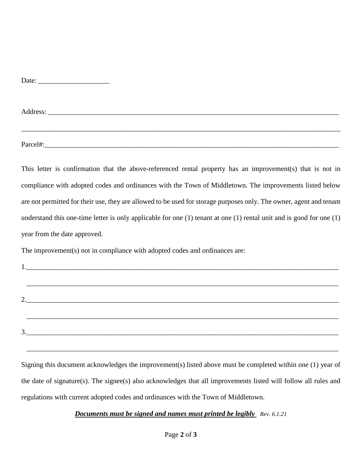| Date: |
|-------|
|-------|

Address: \_\_\_\_\_\_\_\_\_\_\_\_\_\_\_\_\_\_\_\_\_\_\_\_\_\_\_\_\_\_\_\_\_\_\_\_\_\_\_\_\_\_\_\_\_\_\_\_\_\_\_\_\_\_\_\_\_\_\_\_\_\_\_\_\_\_\_\_\_\_\_\_\_\_\_\_\_\_\_\_\_\_

Parcel#:

This letter is confirmation that the above-referenced rental property has an improvement(s) that is not in compliance with adopted codes and ordinances with the Town of Middletown. The improvements listed below are not permitted for their use, they are allowed to be used for storage purposes only. The owner, agent and tenant understand this one-time letter is only applicable for one (1) tenant at one (1) rental unit and is good for one (1) year from the date approved.

\_\_\_\_\_\_\_\_\_\_\_\_\_\_\_\_\_\_\_\_\_\_\_\_\_\_\_\_\_\_\_\_\_\_\_\_\_\_\_\_\_\_\_\_\_\_\_\_\_\_\_\_\_\_\_\_\_\_\_\_\_\_\_\_\_\_\_\_\_\_\_\_\_\_\_\_\_\_\_\_\_\_\_\_\_\_\_\_\_\_

The improvement(s) not in compliance with adopted codes and ordinances are:

| 2.                                |
|-----------------------------------|
|                                   |
| $\begin{array}{c} 3. \end{array}$ |

Signing this document acknowledges the improvement(s) listed above must be completed within one (1) year of the date of signature(s). The signee(s) also acknowledges that all improvements listed will follow all rules and regulations with current adopted codes and ordinances with the Town of Middletown.

\_\_\_\_\_\_\_\_\_\_\_\_\_\_\_\_\_\_\_\_\_\_\_\_\_\_\_\_\_\_\_\_\_\_\_\_\_\_\_\_\_\_\_\_\_\_\_\_\_\_\_\_\_\_\_\_\_\_\_\_\_\_\_\_\_\_\_\_\_\_\_\_\_\_\_\_\_\_\_\_\_\_\_\_\_\_\_\_

*Documents must be signed and names must printed be legibly Rev. 6.1.21*